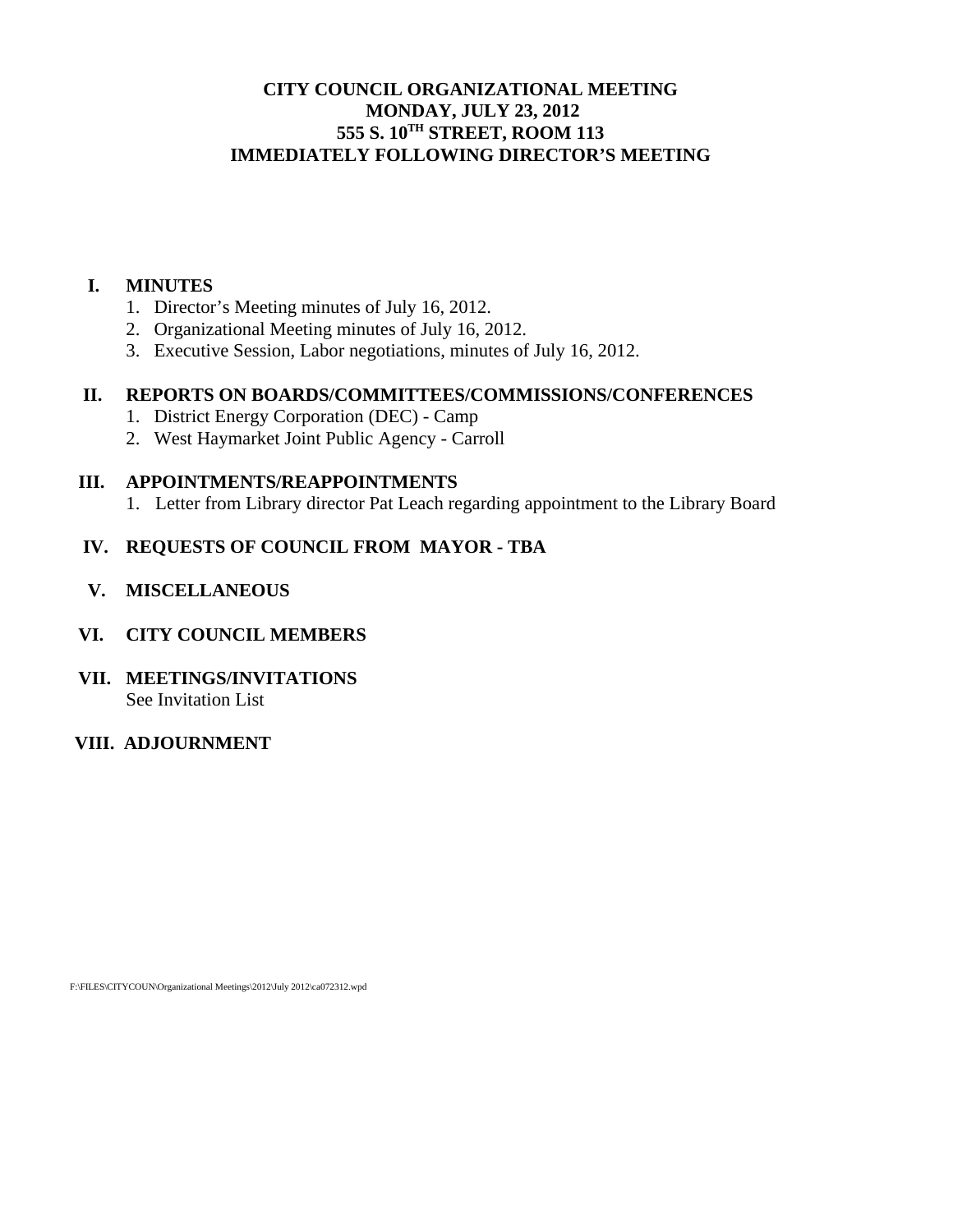## **CITY COUNCIL ORGANIZATIONAL MEETING MONDAY, JULY 23, 2012 555 S. 10TH STREET, ROOM 113 IMMEDIATELY FOLLOWING DIRECTOR'S MEETING**

### **I. MINUTES**

- 1. Director's Meeting minutes of July 16, 2012.
- 2. Organizational Meeting minutes of July 16, 2012.
- 3. Executive Session, Labor negotiations, minutes of July 16, 2012.

## **II. REPORTS ON BOARDS/COMMITTEES/COMMISSIONS/CONFERENCES**

- 1. District Energy Corporation (DEC) Camp
- 2. West Haymarket Joint Public Agency Carroll

#### **III. APPOINTMENTS/REAPPOINTMENTS**

1. Letter from Library director Pat Leach regarding appointment to the Library Board

## **IV. REQUESTS OF COUNCIL FROM MAYOR - TBA**

 **V. MISCELLANEOUS** 

### **VI. CITY COUNCIL MEMBERS**

**VII. MEETINGS/INVITATIONS**  See Invitation List

### **VIII. ADJOURNMENT**

F:\FILES\CITYCOUN\Organizational Meetings\2012\July 2012\ca072312.wpd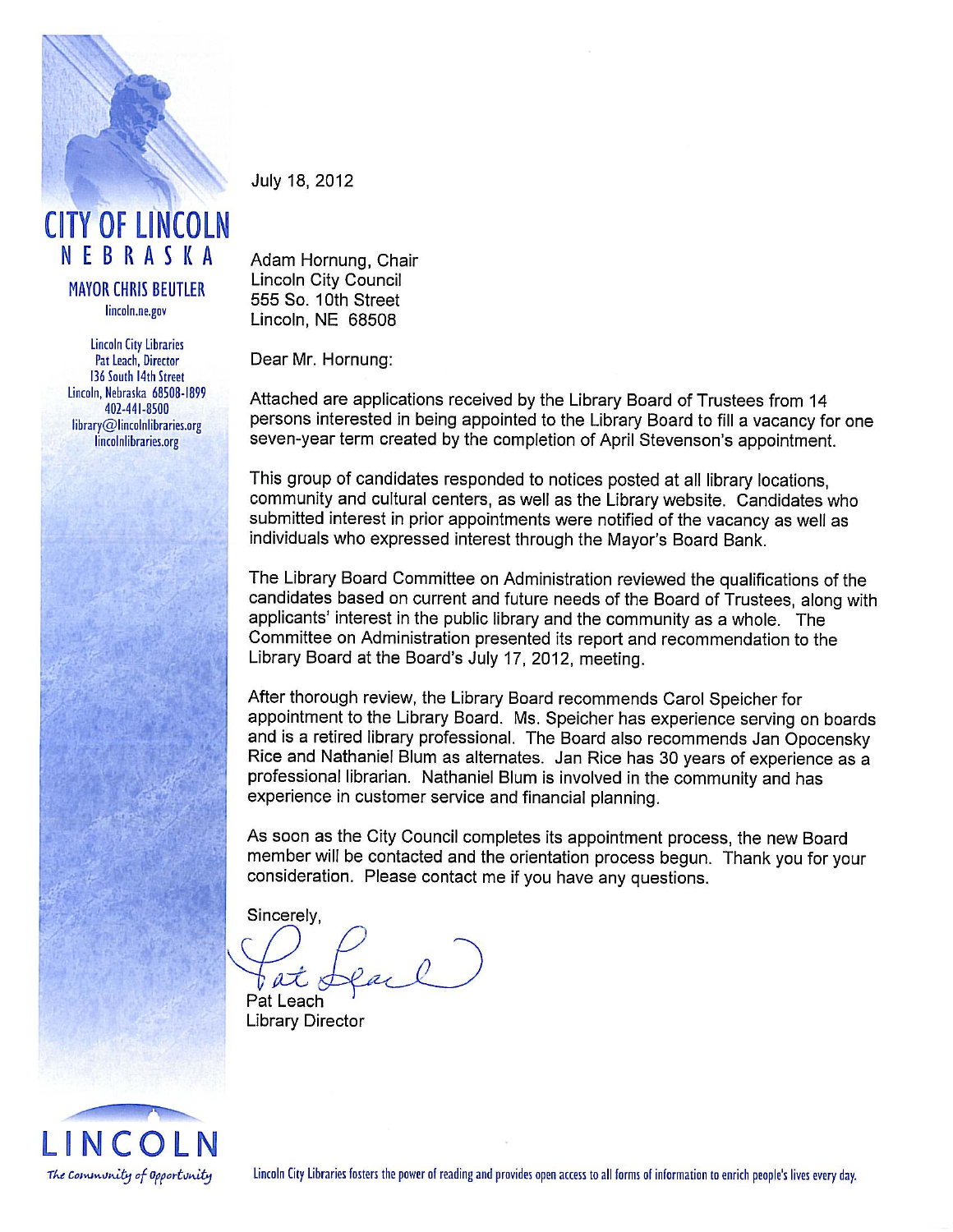

# **CITY OF LINCOLN** NEBRASKA

**MAYOR CHRIS BEUTLER** lincoln.ne.gov

**Lincoln City Libraries** Pat Leach, Director 136 South 14th Street Lincoln, Nebraska 68508-1899 402-441-8500 library@lincolnlibraries.org lincolnlibraries.org

July 18, 2012

Adam Hornung, Chair Lincoln City Council 555 So. 10th Street Lincoln, NE 68508

Dear Mr. Hornung:

Attached are applications received by the Library Board of Trustees from 14 persons interested in being appointed to the Library Board to fill a vacancy for one seven-year term created by the completion of April Stevenson's appointment.

This group of candidates responded to notices posted at all library locations. community and cultural centers, as well as the Library website. Candidates who submitted interest in prior appointments were notified of the vacancy as well as individuals who expressed interest through the Mayor's Board Bank.

The Library Board Committee on Administration reviewed the qualifications of the candidates based on current and future needs of the Board of Trustees, along with applicants' interest in the public library and the community as a whole. The Committee on Administration presented its report and recommendation to the Library Board at the Board's July 17, 2012, meeting.

After thorough review, the Library Board recommends Carol Speicher for appointment to the Library Board. Ms. Speicher has experience serving on boards and is a retired library professional. The Board also recommends Jan Opocensky Rice and Nathaniel Blum as alternates. Jan Rice has 30 years of experience as a professional librarian. Nathaniel Blum is involved in the community and has experience in customer service and financial planning.

As soon as the City Council completes its appointment process, the new Board member will be contacted and the orientation process begun. Thank you for your consideration. Please contact me if you have any questions.

Sincerely,

 $a\vec{\lambda}$ 

Pat Leach **Library Director** 



Lincoln City Libraries fosters the power of reading and provides open access to all forms of information to enrich people's lives every day.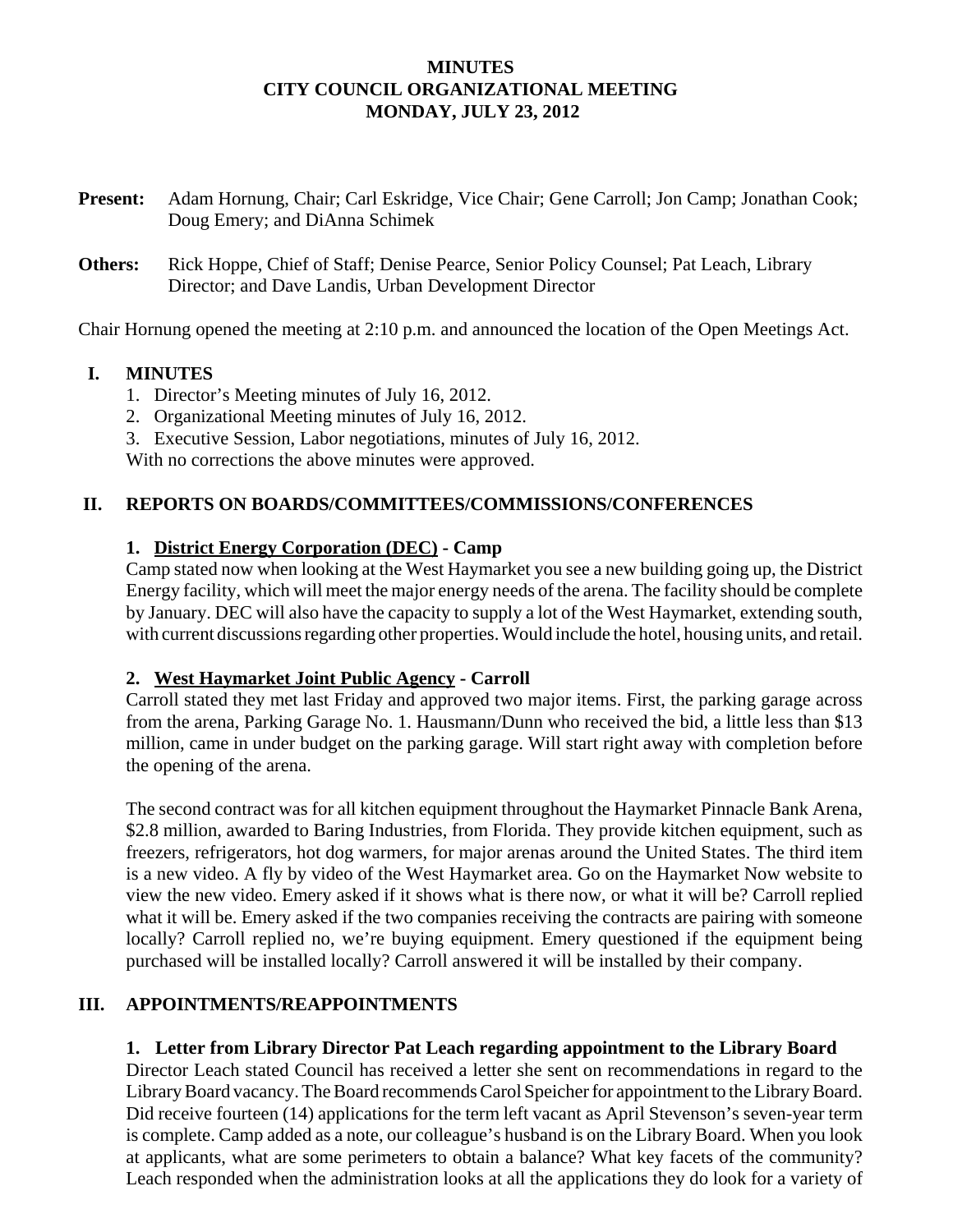## **MINUTES CITY COUNCIL ORGANIZATIONAL MEETING MONDAY, JULY 23, 2012**

- **Present:** Adam Hornung, Chair; Carl Eskridge, Vice Chair; Gene Carroll; Jon Camp; Jonathan Cook; Doug Emery; and DiAnna Schimek
- **Others:** Rick Hoppe, Chief of Staff; Denise Pearce, Senior Policy Counsel; Pat Leach, Library Director; and Dave Landis, Urban Development Director

Chair Hornung opened the meeting at 2:10 p.m. and announced the location of the Open Meetings Act.

## **I. MINUTES**

- 1. Director's Meeting minutes of July 16, 2012.
- 2. Organizational Meeting minutes of July 16, 2012.
- 3. Executive Session, Labor negotiations, minutes of July 16, 2012.

With no corrections the above minutes were approved.

## **II. REPORTS ON BOARDS/COMMITTEES/COMMISSIONS/CONFERENCES**

## **1. District Energy Corporation (DEC) - Camp**

Camp stated now when looking at the West Haymarket you see a new building going up, the District Energy facility, which will meet the major energy needs of the arena. The facility should be complete by January. DEC will also have the capacity to supply a lot of the West Haymarket, extending south, with current discussions regarding other properties. Would include the hotel, housing units, and retail.

### **2. West Haymarket Joint Public Agency - Carroll**

Carroll stated they met last Friday and approved two major items. First, the parking garage across from the arena, Parking Garage No. 1. Hausmann/Dunn who received the bid, a little less than \$13 million, came in under budget on the parking garage. Will start right away with completion before the opening of the arena.

The second contract was for all kitchen equipment throughout the Haymarket Pinnacle Bank Arena, \$2.8 million, awarded to Baring Industries, from Florida. They provide kitchen equipment, such as freezers, refrigerators, hot dog warmers, for major arenas around the United States. The third item is a new video. A fly by video of the West Haymarket area. Go on the Haymarket Now website to view the new video. Emery asked if it shows what is there now, or what it will be? Carroll replied what it will be. Emery asked if the two companies receiving the contracts are pairing with someone locally? Carroll replied no, we're buying equipment. Emery questioned if the equipment being purchased will be installed locally? Carroll answered it will be installed by their company.

## **III. APPOINTMENTS/REAPPOINTMENTS**

## **1. Letter from Library Director Pat Leach regarding appointment to the Library Board**

Director Leach stated Council has received a letter she sent on recommendations in regard to the Library Board vacancy. The Board recommends Carol Speicher for appointment to the Library Board. Did receive fourteen (14) applications for the term left vacant as April Stevenson's seven-year term is complete. Camp added as a note, our colleague's husband is on the Library Board. When you look at applicants, what are some perimeters to obtain a balance? What key facets of the community? Leach responded when the administration looks at all the applications they do look for a variety of